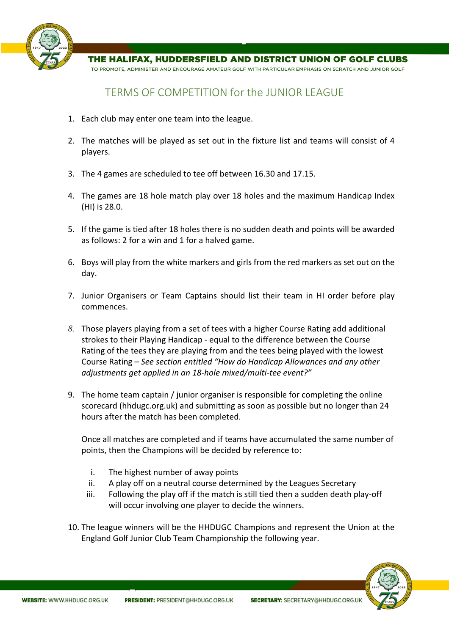

THE HALIFAX, HUDDERSFIELD AND DISTRICT UNION OF GOLF CLUBS

TO PROMOTE, ADMINISTER AND ENCOURAGE AMATEUR GOLF WITH PARTICULAR EMPHASIS ON SCRATCH AND JUNIOR GOLF

## TERMS OF COMPETITION for the JUNIOR LEAGUE

- 1. Each club may enter one team into the league.
- 2. The matches will be played as set out in the fixture list and teams will consist of 4 players.
- 3. The 4 games are scheduled to tee off between 16.30 and 17.15.
- 4. The games are 18 hole match play over 18 holes and the maximum Handicap Index (HI) is 28.0.
- 5. If the game is tied after 18 holes there is no sudden death and points will be awarded as follows: 2 for a win and 1 for a halved game.
- 6. Boys will play from the white markers and girls from the red markers as set out on the day.
- 7. Junior Organisers or Team Captains should list their team in HI order before play commences.
- *8.* Those players playing from a set of tees with a higher Course Rating add additional strokes to their Playing Handicap - equal to the difference between the Course Rating of the tees they are playing from and the tees being played with the lowest Course Rating – *See section entitled "How do Handicap Allowances and any other adjustments get applied in an 18-hole mixed/multi-tee event?"*
- 9. The home team captain / junior organiser is responsible for completing the online scorecard (hhdugc.org.uk) and submitting as soon as possible but no longer than 24 hours after the match has been completed.

Once all matches are completed and if teams have accumulated the same number of points, then the Champions will be decided by reference to:

- i. The highest number of away points
- ii. A play off on a neutral course determined by the Leagues Secretary
- iii. Following the play off if the match is still tied then a sudden death play-off will occur involving one player to decide the winners.
- 10. The league winners will be the HHDUGC Champions and represent the Union at the England Golf Junior Club Team Championship the following year.